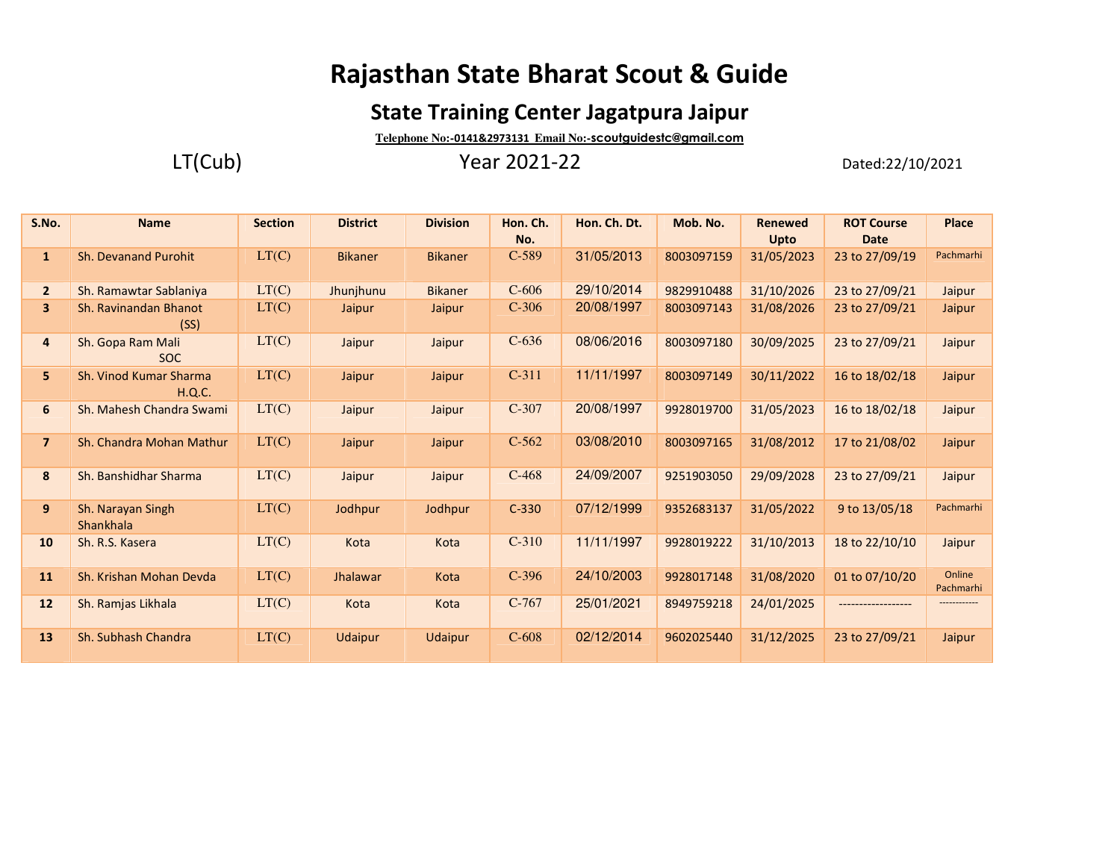# **Rajasthan State Bharat Scout & Guide**

## **State Training Center Jagatpura Jaipur**

**Telephone No:-0141&2973131 Email No:-scoutguidestc@gmail.com**

LT(Cub) Year 2021-22 Dated:22/10/2021

| S.No.          | <b>Name</b>                      | <b>Section</b> | <b>District</b> | <b>Division</b> | Hon. Ch.<br>No. | Hon. Ch. Dt. | Mob. No.   | <b>Renewed</b><br>Upto | <b>ROT Course</b><br><b>Date</b> | Place               |
|----------------|----------------------------------|----------------|-----------------|-----------------|-----------------|--------------|------------|------------------------|----------------------------------|---------------------|
| $\mathbf{1}$   | <b>Sh. Devanand Purohit</b>      | LT(C)          | <b>Bikaner</b>  | <b>Bikaner</b>  | $C-589$         | 31/05/2013   | 8003097159 | 31/05/2023             | 23 to 27/09/19                   | Pachmarhi           |
| $\overline{2}$ | Sh. Ramawtar Sablaniya           | LT(C)          | Jhunjhunu       | <b>Bikaner</b>  | $C-606$         | 29/10/2014   | 9829910488 | 31/10/2026             | 23 to 27/09/21                   | Jaipur              |
| 3              | Sh. Ravinandan Bhanot<br>(SS)    | LT(C)          | Jaipur          | Jaipur          | $C-306$         | 20/08/1997   | 8003097143 | 31/08/2026             | 23 to 27/09/21                   | Jaipur              |
| 4              | Sh. Gopa Ram Mali<br><b>SOC</b>  | LT(C)          | Jaipur          | Jaipur          | $C-636$         | 08/06/2016   | 8003097180 | 30/09/2025             | 23 to 27/09/21                   | Jaipur              |
| 5.             | Sh. Vinod Kumar Sharma<br>H.Q.C. | LT(C)          | Jaipur          | Jaipur          | $C-311$         | 11/11/1997   | 8003097149 | 30/11/2022             | 16 to 18/02/18                   | Jaipur              |
| 6              | Sh. Mahesh Chandra Swami         | LT(C)          | Jaipur          | Jaipur          | $C-307$         | 20/08/1997   | 9928019700 | 31/05/2023             | 16 to 18/02/18                   | Jaipur              |
| $\overline{7}$ | Sh. Chandra Mohan Mathur         | LT(C)          | Jaipur          | Jaipur          | $C-562$         | 03/08/2010   | 8003097165 | 31/08/2012             | 17 to 21/08/02                   | Jaipur              |
| 8              | Sh. Banshidhar Sharma            | LT(C)          | Jaipur          | Jaipur          | $C-468$         | 24/09/2007   | 9251903050 | 29/09/2028             | 23 to 27/09/21                   | Jaipur              |
| 9              | Sh. Narayan Singh<br>Shankhala   | LT(C)          | Jodhpur         | Jodhpur         | $C-330$         | 07/12/1999   | 9352683137 | 31/05/2022             | 9 to 13/05/18                    | Pachmarhi           |
| 10             | Sh. R.S. Kasera                  | LT(C)          | Kota            | Kota            | $C-310$         | 11/11/1997   | 9928019222 | 31/10/2013             | 18 to 22/10/10                   | Jaipur              |
| 11             | Sh. Krishan Mohan Devda          | LT(C)          | Jhalawar        | Kota            | $C-396$         | 24/10/2003   | 9928017148 | 31/08/2020             | 01 to 07/10/20                   | Online<br>Pachmarhi |
| 12             | Sh. Ramjas Likhala               | LT(C)          | Kota            | Kota            | $C-767$         | 25/01/2021   | 8949759218 | 24/01/2025             |                                  | ------------        |
| 13             | Sh. Subhash Chandra              | LT(C)          | <b>Udaipur</b>  | Udaipur         | $C-608$         | 02/12/2014   | 9602025440 | 31/12/2025             | 23 to 27/09/21                   | Jaipur              |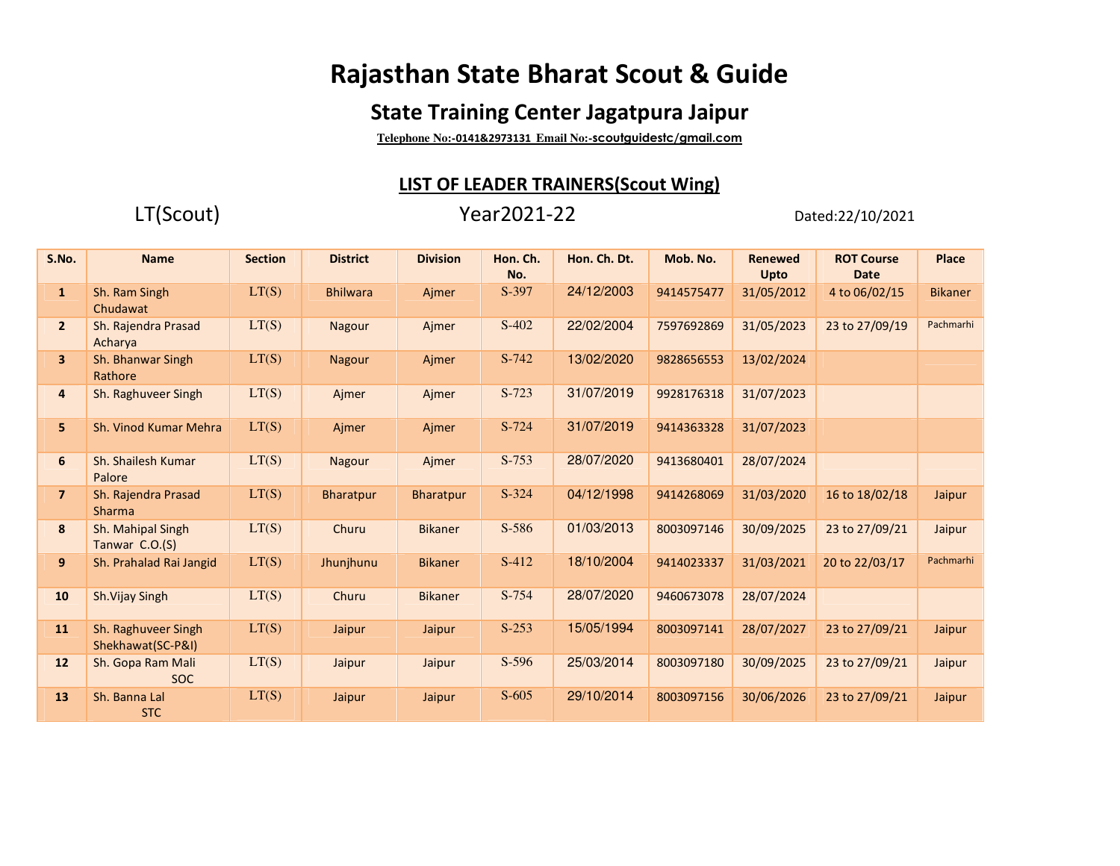# **Rajasthan State Bharat Scout & Guide**

## **State Training Center Jagatpura Jaipur**

**Telephone No:-0141&2973131 Email No:-scoutguidestc/gmail.com**

### **LIST OF LEADER TRAINERS(Scout Wing)**

### LT(Scout) Year2021-22 Dated:22/10/2021

| S.No.          | <b>Name</b>                              | <b>Section</b> | <b>District</b> | <b>Division</b> | Hon. Ch.<br>No. | Hon. Ch. Dt. | Mob. No.   | <b>Renewed</b><br>Upto | <b>ROT Course</b><br><b>Date</b> | <b>Place</b>   |
|----------------|------------------------------------------|----------------|-----------------|-----------------|-----------------|--------------|------------|------------------------|----------------------------------|----------------|
| $\mathbf{1}$   | Sh. Ram Singh<br>Chudawat                | LT(S)          | <b>Bhilwara</b> | Ajmer           | S-397           | 24/12/2003   | 9414575477 | 31/05/2012             | 4 to 06/02/15                    | <b>Bikaner</b> |
| $\overline{2}$ | Sh. Rajendra Prasad<br>Acharya           | LT(S)          | Nagour          | Ajmer           | $S-402$         | 22/02/2004   | 7597692869 | 31/05/2023             | 23 to 27/09/19                   | Pachmarhi      |
| 3 <sup>1</sup> | Sh. Bhanwar Singh<br>Rathore             | LT(S)          | <b>Nagour</b>   | Ajmer           | S-742           | 13/02/2020   | 9828656553 | 13/02/2024             |                                  |                |
| 4              | Sh. Raghuveer Singh                      | LT(S)          | Ajmer           | Ajmer           | S-723           | 31/07/2019   | 9928176318 | 31/07/2023             |                                  |                |
| 5              | Sh. Vinod Kumar Mehra                    | LT(S)          | Ajmer           | Ajmer           | S-724           | 31/07/2019   | 9414363328 | 31/07/2023             |                                  |                |
| 6              | Sh. Shailesh Kumar<br>Palore             | LT(S)          | Nagour          | Ajmer           | $S-753$         | 28/07/2020   | 9413680401 | 28/07/2024             |                                  |                |
| $\overline{ }$ | Sh. Rajendra Prasad<br><b>Sharma</b>     | LT(S)          | Bharatpur       | Bharatpur       | $S-324$         | 04/12/1998   | 9414268069 | 31/03/2020             | 16 to 18/02/18                   | Jaipur         |
| 8              | Sh. Mahipal Singh<br>Tanwar C.O.(S)      | LT(S)          | Churu           | <b>Bikaner</b>  | S-586           | 01/03/2013   | 8003097146 | 30/09/2025             | 23 to 27/09/21                   | Jaipur         |
| 9              | Sh. Prahalad Rai Jangid                  | LT(S)          | Jhunjhunu       | <b>Bikaner</b>  | $S-412$         | 18/10/2004   | 9414023337 | 31/03/2021             | 20 to 22/03/17                   | Pachmarhi      |
| 10             | Sh.Vijay Singh                           | LT(S)          | Churu           | <b>Bikaner</b>  | S-754           | 28/07/2020   | 9460673078 | 28/07/2024             |                                  |                |
| 11             | Sh. Raghuveer Singh<br>Shekhawat(SC-P&I) | LT(S)          | Jaipur          | Jaipur          | $S-253$         | 15/05/1994   | 8003097141 | 28/07/2027             | 23 to 27/09/21                   | Jaipur         |
| 12             | Sh. Gopa Ram Mali<br><b>SOC</b>          | LT(S)          | Jaipur          | Jaipur          | $S-596$         | 25/03/2014   | 8003097180 | 30/09/2025             | 23 to 27/09/21                   | Jaipur         |
| 13             | Sh. Banna Lal<br><b>STC</b>              | LT(S)          | Jaipur          | Jaipur          | $S-605$         | 29/10/2014   | 8003097156 | 30/06/2026             | 23 to 27/09/21                   | Jaipur         |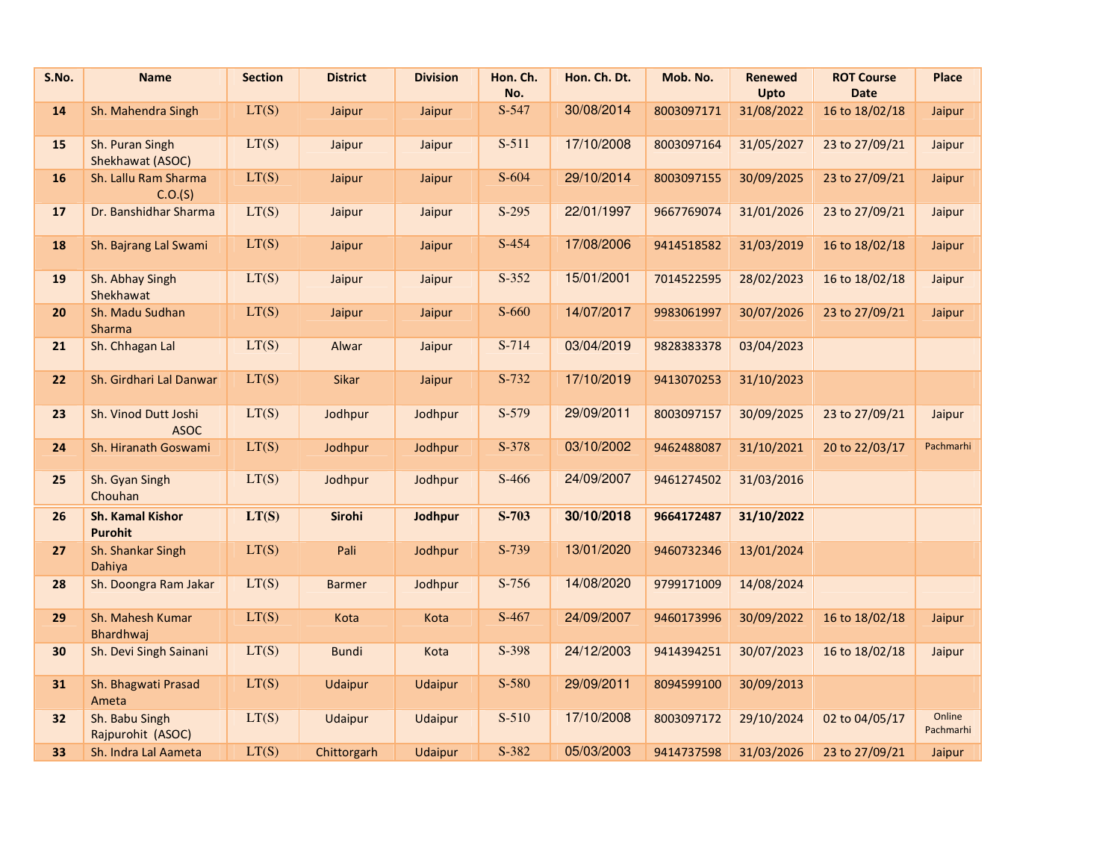| S.No. | <b>Name</b>                               | <b>Section</b> | <b>District</b> | <b>Division</b> | Hon. Ch.<br>No. | Hon. Ch. Dt. | Mob. No.   | <b>Renewed</b><br>Upto | <b>ROT Course</b><br><b>Date</b> | Place               |
|-------|-------------------------------------------|----------------|-----------------|-----------------|-----------------|--------------|------------|------------------------|----------------------------------|---------------------|
| 14    | Sh. Mahendra Singh                        | LT(S)          | Jaipur          | Jaipur          | S-547           | 30/08/2014   | 8003097171 | 31/08/2022             | 16 to 18/02/18                   | Jaipur              |
| 15    | Sh. Puran Singh<br>Shekhawat (ASOC)       | LT(S)          | Jaipur          | Jaipur          | $S-511$         | 17/10/2008   | 8003097164 | 31/05/2027             | 23 to 27/09/21                   | Jaipur              |
| 16    | Sh. Lallu Ram Sharma<br>C.O.(S)           | LT(S)          | Jaipur          | Jaipur          | $S-604$         | 29/10/2014   | 8003097155 | 30/09/2025             | 23 to 27/09/21                   | Jaipur              |
| 17    | Dr. Banshidhar Sharma                     | LT(S)          | Jaipur          | Jaipur          | $S-295$         | 22/01/1997   | 9667769074 | 31/01/2026             | 23 to 27/09/21                   | Jaipur              |
| 18    | Sh. Bajrang Lal Swami                     | LT(S)          | Jaipur          | Jaipur          | S-454           | 17/08/2006   | 9414518582 | 31/03/2019             | 16 to 18/02/18                   | Jaipur              |
| 19    | Sh. Abhay Singh<br>Shekhawat              | LT(S)          | Jaipur          | Jaipur          | $S-352$         | 15/01/2001   | 7014522595 | 28/02/2023             | 16 to 18/02/18                   | Jaipur              |
| 20    | Sh. Madu Sudhan<br><b>Sharma</b>          | LT(S)          | Jaipur          | Jaipur          | S-660           | 14/07/2017   | 9983061997 | 30/07/2026             | 23 to 27/09/21                   | Jaipur              |
| 21    | Sh. Chhagan Lal                           | LT(S)          | Alwar           | Jaipur          | $S-714$         | 03/04/2019   | 9828383378 | 03/04/2023             |                                  |                     |
| 22    | Sh. Girdhari Lal Danwar                   | LT(S)          | Sikar           | Jaipur          | S-732           | 17/10/2019   | 9413070253 | 31/10/2023             |                                  |                     |
| 23    | Sh. Vinod Dutt Joshi<br><b>ASOC</b>       | LT(S)          | Jodhpur         | Jodhpur         | S-579           | 29/09/2011   | 8003097157 | 30/09/2025             | 23 to 27/09/21                   | Jaipur              |
| 24    | Sh. Hiranath Goswami                      | LT(S)          | Jodhpur         | Jodhpur         | S-378           | 03/10/2002   | 9462488087 | 31/10/2021             | 20 to 22/03/17                   | Pachmarhi           |
| 25    | Sh. Gyan Singh<br>Chouhan                 | LT(S)          | Jodhpur         | Jodhpur         | S-466           | 24/09/2007   | 9461274502 | 31/03/2016             |                                  |                     |
| 26    | <b>Sh. Kamal Kishor</b><br><b>Purohit</b> | LT(S)          | <b>Sirohi</b>   | Jodhpur         | $S-703$         | 30/10/2018   | 9664172487 | 31/10/2022             |                                  |                     |
| 27    | Sh. Shankar Singh<br>Dahiya               | LT(S)          | Pali            | Jodhpur         | S-739           | 13/01/2020   | 9460732346 | 13/01/2024             |                                  |                     |
| 28    | Sh. Doongra Ram Jakar                     | LT(S)          | <b>Barmer</b>   | Jodhpur         | $S-756$         | 14/08/2020   | 9799171009 | 14/08/2024             |                                  |                     |
| 29    | Sh. Mahesh Kumar<br>Bhardhwaj             | LT(S)          | Kota            | Kota            | S-467           | 24/09/2007   | 9460173996 | 30/09/2022             | 16 to 18/02/18                   | Jaipur              |
| 30    | Sh. Devi Singh Sainani                    | LT(S)          | <b>Bundi</b>    | Kota            | S-398           | 24/12/2003   | 9414394251 | 30/07/2023             | 16 to 18/02/18                   | Jaipur              |
| 31    | Sh. Bhagwati Prasad<br>Ameta              | LT(S)          | <b>Udaipur</b>  | <b>Udaipur</b>  | S-580           | 29/09/2011   | 8094599100 | 30/09/2013             |                                  |                     |
| 32    | Sh. Babu Singh<br>Rajpurohit (ASOC)       | LT(S)          | Udaipur         | Udaipur         | $S-510$         | 17/10/2008   | 8003097172 | 29/10/2024             | 02 to 04/05/17                   | Online<br>Pachmarhi |
| 33    | Sh. Indra Lal Aameta                      | LT(S)          | Chittorgarh     | <b>Udaipur</b>  | S-382           | 05/03/2003   | 9414737598 | 31/03/2026             | 23 to 27/09/21                   | Jaipur              |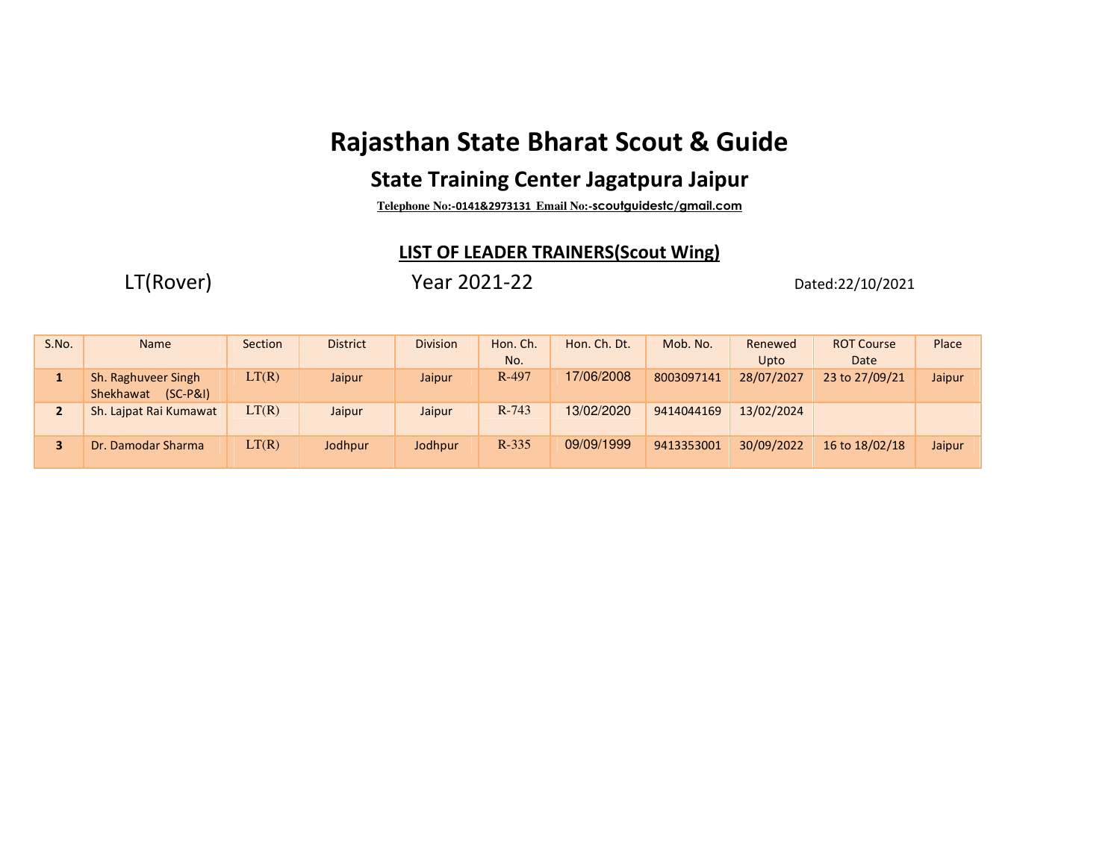# **Rajasthan State Bharat Scout & Guide**

### **State Training Center Jagatpura Jaipur**

**Telephone No:-0141&2973131 Email No:-scoutguidestc/gmail.com**

### **LIST OF LEADER TRAINERS(Scout Wing)**

LT(Rover) Year 2021-22 Dated:22/10/2021

| S.No.          | <b>Name</b>                                    | Section | <b>District</b> | <b>Division</b> | Hon. Ch.<br>No. | Hon. Ch. Dt. | Mob. No.   | Renewed<br>Upto | <b>ROT Course</b><br>Date | Place  |
|----------------|------------------------------------------------|---------|-----------------|-----------------|-----------------|--------------|------------|-----------------|---------------------------|--------|
|                | Sh. Raghuveer Singh<br>Shekhawat<br>$(SC-P&I)$ | LT(R)   | Jaipur          | Jaipur          | R-497           | 17/06/2008   | 8003097141 | 28/07/2027      | 23 to 27/09/21            | Jaipur |
| $\overline{2}$ | Sh. Laipat Rai Kumawat                         | LT(R)   | Jaipur          | Jaipur          | $R-743$         | 13/02/2020   | 9414044169 | 13/02/2024      |                           |        |
|                | Dr. Damodar Sharma                             | LT(R)   | Jodhpur         | Jodhpur         | $R-335$         | 09/09/1999   | 9413353001 | 30/09/2022      | 16 to 18/02/18            | Jaipur |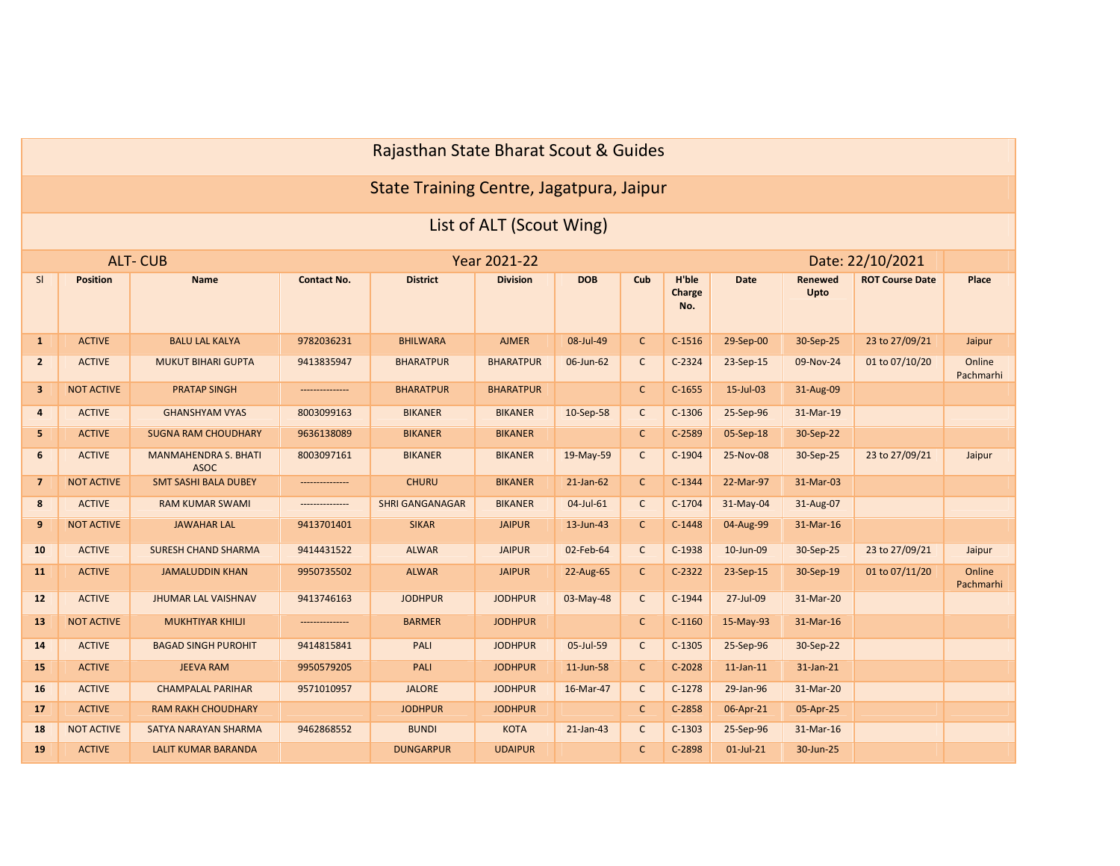## Rajasthan State Bharat Scout & Guides

### State Training Centre, Jagatpura, Jaipur

### List of ALT (Scout Wing)

|                         |                   | <b>ALT-CUB</b>                             |                    |                        | Year 2021-22     |              |              |                        |                 |                        | Date: 22/10/2021       |                     |
|-------------------------|-------------------|--------------------------------------------|--------------------|------------------------|------------------|--------------|--------------|------------------------|-----------------|------------------------|------------------------|---------------------|
| SI                      | <b>Position</b>   | Name                                       | <b>Contact No.</b> | <b>District</b>        | <b>Division</b>  | <b>DOB</b>   | Cub          | H'ble<br>Charge<br>No. | <b>Date</b>     | <b>Renewed</b><br>Upto | <b>ROT Course Date</b> | Place               |
| $\mathbf{1}$            | <b>ACTIVE</b>     | <b>BALU LAL KALYA</b>                      | 9782036231         | <b>BHILWARA</b>        | <b>AJMER</b>     | 08-Jul-49    | $\mathsf{C}$ | $C-1516$               | 29-Sep-00       | 30-Sep-25              | 23 to 27/09/21         | Jaipur              |
| $\overline{2}$          | <b>ACTIVE</b>     | <b>MUKUT BIHARI GUPTA</b>                  | 9413835947         | <b>BHARATPUR</b>       | <b>BHARATPUR</b> | 06-Jun-62    | $\mathsf{C}$ | $C-2324$               | 23-Sep-15       | 09-Nov-24              | 01 to 07/10/20         | Online<br>Pachmarhi |
| $\overline{\mathbf{3}}$ | <b>NOT ACTIVE</b> | <b>PRATAP SINGH</b>                        | ---------------    | <b>BHARATPUR</b>       | <b>BHARATPUR</b> |              | $\mathsf{C}$ | $C-1655$               | 15-Jul-03       | 31-Aug-09              |                        |                     |
| $\overline{a}$          | <b>ACTIVE</b>     | <b>GHANSHYAM VYAS</b>                      | 8003099163         | <b>BIKANER</b>         | <b>BIKANER</b>   | 10-Sep-58    | $\mathsf{C}$ | $C-1306$               | 25-Sep-96       | 31-Mar-19              |                        |                     |
| 5                       | <b>ACTIVE</b>     | <b>SUGNA RAM CHOUDHARY</b>                 | 9636138089         | <b>BIKANER</b>         | <b>BIKANER</b>   |              | $\mathsf{C}$ | $C-2589$               | 05-Sep-18       | 30-Sep-22              |                        |                     |
| 6                       | <b>ACTIVE</b>     | <b>MANMAHENDRA S. BHATI</b><br><b>ASOC</b> | 8003097161         | <b>BIKANER</b>         | <b>BIKANER</b>   | 19-May-59    | $\mathsf{C}$ | $C-1904$               | 25-Nov-08       | 30-Sep-25              | 23 to 27/09/21         | Jaipur              |
| $\overline{7}$          | <b>NOT ACTIVE</b> | <b>SMT SASHI BALA DUBEY</b>                |                    | <b>CHURU</b>           | <b>BIKANER</b>   | $21$ -Jan-62 | $\mathsf{C}$ | $C-1344$               | 22-Mar-97       | 31-Mar-03              |                        |                     |
| 8                       | <b>ACTIVE</b>     | <b>RAM KUMAR SWAMI</b>                     | ---------------    | <b>SHRI GANGANAGAR</b> | <b>BIKANER</b>   | 04-Jul-61    | $\mathsf{C}$ | $C-1704$               | 31-May-04       | 31-Aug-07              |                        |                     |
| 9                       | <b>NOT ACTIVE</b> | <b>JAWAHAR LAL</b>                         | 9413701401         | <b>SIKAR</b>           | <b>JAIPUR</b>    | 13-Jun-43    | $\mathsf{C}$ | $C-1448$               | 04-Aug-99       | 31-Mar-16              |                        |                     |
| 10                      | <b>ACTIVE</b>     | <b>SURESH CHAND SHARMA</b>                 | 9414431522         | <b>ALWAR</b>           | <b>JAIPUR</b>    | 02-Feb-64    | $\mathsf{C}$ | $C-1938$               | 10-Jun-09       | 30-Sep-25              | 23 to 27/09/21         | Jaipur              |
| <b>11</b>               | <b>ACTIVE</b>     | <b>JAMALUDDIN KHAN</b>                     | 9950735502         | <b>ALWAR</b>           | <b>JAIPUR</b>    | 22-Aug-65    | $\mathsf{C}$ | $C-2322$               | 23-Sep-15       | 30-Sep-19              | 01 to 07/11/20         | Online<br>Pachmarhi |
| 12                      | <b>ACTIVE</b>     | <b>JHUMAR LAL VAISHNAV</b>                 | 9413746163         | <b>JODHPUR</b>         | <b>JODHPUR</b>   | 03-May-48    | $\mathsf{C}$ | $C-1944$               | 27-Jul-09       | 31-Mar-20              |                        |                     |
| 13                      | <b>NOT ACTIVE</b> | <b>MUKHTIYAR KHILJI</b>                    | ---------------    | <b>BARMER</b>          | <b>JODHPUR</b>   |              | $\mathsf{C}$ | $C-1160$               | 15-May-93       | 31-Mar-16              |                        |                     |
| 14                      | <b>ACTIVE</b>     | <b>BAGAD SINGH PUROHIT</b>                 | 9414815841         | PALI                   | <b>JODHPUR</b>   | 05-Jul-59    | $\mathsf{C}$ | $C-1305$               | 25-Sep-96       | 30-Sep-22              |                        |                     |
| 15                      | <b>ACTIVE</b>     | <b>JEEVA RAM</b>                           | 9950579205         | PALI                   | <b>JODHPUR</b>   | 11-Jun-58    | $\mathsf{C}$ | $C-2028$               | $11$ -Jan- $11$ | 31-Jan-21              |                        |                     |
| 16                      | <b>ACTIVE</b>     | <b>CHAMPALAL PARIHAR</b>                   | 9571010957         | <b>JALORE</b>          | <b>JODHPUR</b>   | 16-Mar-47    | $\mathsf{C}$ | $C-1278$               | 29-Jan-96       | 31-Mar-20              |                        |                     |
| 17                      | <b>ACTIVE</b>     | <b>RAM RAKH CHOUDHARY</b>                  |                    | <b>JODHPUR</b>         | <b>JODHPUR</b>   |              | $\mathsf{C}$ | $C-2858$               | 06-Apr-21       | 05-Apr-25              |                        |                     |
| 18                      | <b>NOT ACTIVE</b> | SATYA NARAYAN SHARMA                       | 9462868552         | <b>BUNDI</b>           | <b>KOTA</b>      | $21$ -Jan-43 | $\mathsf{C}$ | $C-1303$               | 25-Sep-96       | 31-Mar-16              |                        |                     |
| 19                      | <b>ACTIVE</b>     | LALIT KUMAR BARANDA                        |                    | <b>DUNGARPUR</b>       | <b>UDAIPUR</b>   |              | $\mathsf{C}$ | C-2898                 | $01$ -Jul-21    | 30-Jun-25              |                        |                     |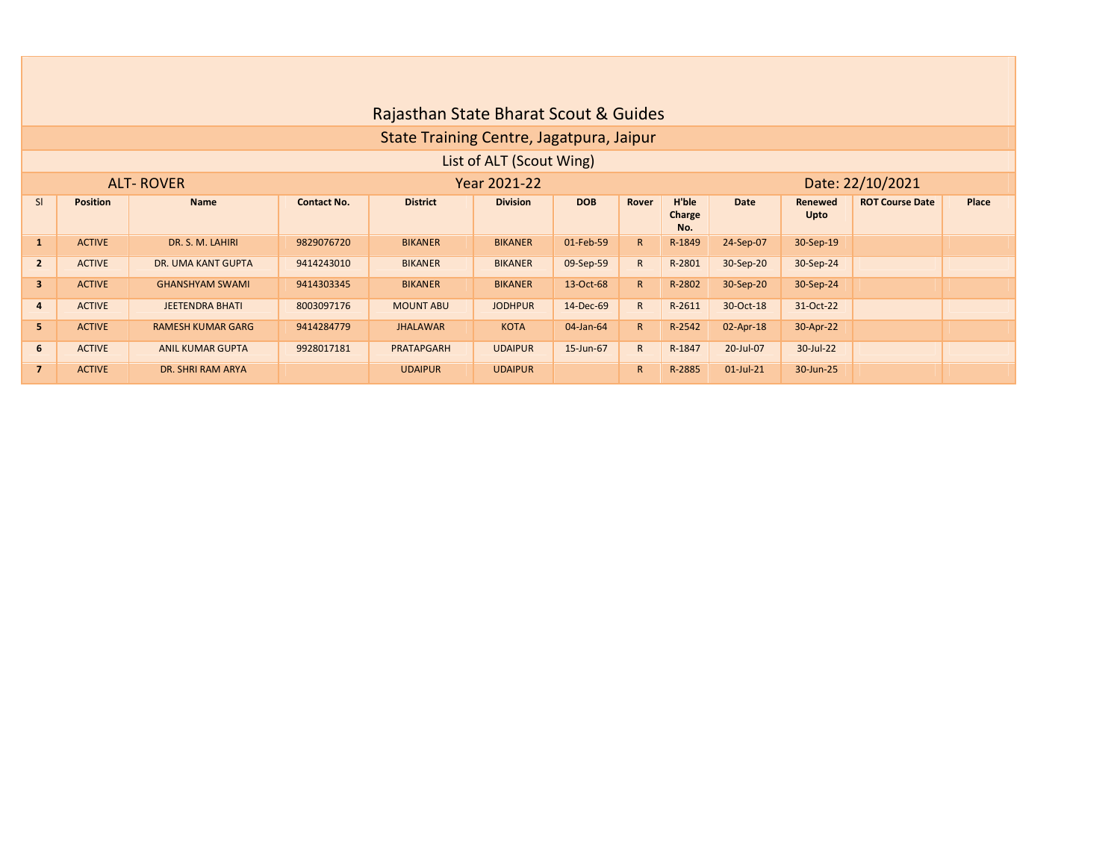|                         |                 |                          |                    | Rajasthan State Bharat Scout & Guides    |                          |            |              |                        |              |                        |                        |       |
|-------------------------|-----------------|--------------------------|--------------------|------------------------------------------|--------------------------|------------|--------------|------------------------|--------------|------------------------|------------------------|-------|
|                         |                 |                          |                    | State Training Centre, Jagatpura, Jaipur |                          |            |              |                        |              |                        |                        |       |
|                         |                 |                          |                    |                                          | List of ALT (Scout Wing) |            |              |                        |              |                        |                        |       |
|                         |                 | <b>ALT-ROVER</b>         |                    |                                          | Year 2021-22             |            |              |                        |              |                        | Date: 22/10/2021       |       |
| <sub>SI</sub>           | <b>Position</b> | <b>Name</b>              | <b>Contact No.</b> | <b>District</b>                          | <b>Division</b>          | <b>DOB</b> | Rover        | H'ble<br>Charge<br>No. | <b>Date</b>  | <b>Renewed</b><br>Upto | <b>ROT Course Date</b> | Place |
| $\mathbf{1}$            | <b>ACTIVE</b>   | DR. S. M. LAHIRI         | 9829076720         | <b>BIKANER</b>                           | <b>BIKANER</b>           | 01-Feb-59  | R            | R-1849                 | 24-Sep-07    | 30-Sep-19              |                        |       |
| $\overline{2}$          | <b>ACTIVE</b>   | DR. UMA KANT GUPTA       | 9414243010         | <b>BIKANER</b>                           | <b>BIKANER</b>           | 09-Sep-59  | $\mathsf{R}$ | R-2801                 | 30-Sep-20    | 30-Sep-24              |                        |       |
| $\overline{\mathbf{3}}$ | <b>ACTIVE</b>   | <b>GHANSHYAM SWAMI</b>   | 9414303345         | <b>BIKANER</b>                           | <b>BIKANER</b>           | 13-Oct-68  | R            | R-2802                 | 30-Sep-20    | 30-Sep-24              |                        |       |
| $\overline{4}$          | <b>ACTIVE</b>   | <b>JEETENDRA BHATI</b>   | 8003097176         | <b>MOUNT ABU</b>                         | <b>JODHPUR</b>           | 14-Dec-69  | $\mathsf{R}$ | R-2611                 | 30-Oct-18    | 31-Oct-22              |                        |       |
| 5                       | <b>ACTIVE</b>   | <b>RAMESH KUMAR GARG</b> | 9414284779         | <b>JHALAWAR</b>                          | <b>KOTA</b>              | 04-Jan-64  | R            | R-2542                 | $02$ -Apr-18 | 30-Apr-22              |                        |       |
| 6                       | <b>ACTIVE</b>   | <b>ANIL KUMAR GUPTA</b>  | 9928017181         | PRATAPGARH                               | <b>UDAIPUR</b>           | 15-Jun-67  | $\mathsf{R}$ | R-1847                 | 20-Jul-07    | 30-Jul-22              |                        |       |
| $\overline{7}$          | <b>ACTIVE</b>   | DR. SHRI RAM ARYA        |                    | <b>UDAIPUR</b>                           | <b>UDAIPUR</b>           |            | $\mathsf{R}$ | R-2885                 | $01$ -Jul-21 | 30-Jun-25              |                        |       |

 $\Box$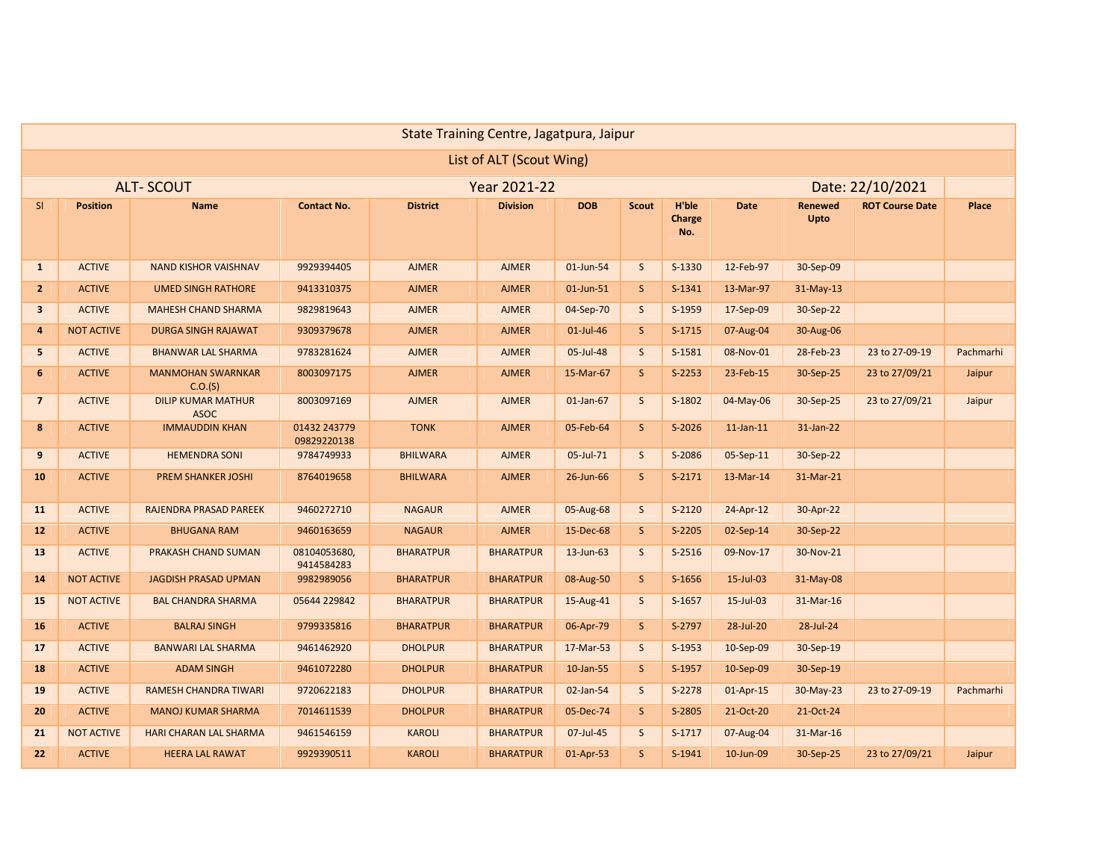|                         |                   |                                          |                             |                  | State Training Centre, Jagatpura, Jaipur |            |              |                        |                 |                        |                        |           |
|-------------------------|-------------------|------------------------------------------|-----------------------------|------------------|------------------------------------------|------------|--------------|------------------------|-----------------|------------------------|------------------------|-----------|
|                         |                   |                                          |                             |                  | List of ALT (Scout Wing)                 |            |              |                        |                 |                        |                        |           |
|                         |                   | <b>ALT-SCOUT</b>                         |                             |                  | Year 2021-22                             |            |              |                        |                 |                        | Date: 22/10/2021       |           |
| SI                      | <b>Position</b>   | <b>Name</b>                              | <b>Contact No.</b>          | <b>District</b>  | <b>Division</b>                          | <b>DOB</b> | <b>Scout</b> | H'ble<br>Charge<br>No. | <b>Date</b>     | <b>Renewed</b><br>Upto | <b>ROT Course Date</b> | Place     |
| $\mathbf{1}$            | <b>ACTIVE</b>     | <b>NAND KISHOR VAISHNAV</b>              | 9929394405                  | <b>AJMER</b>     | <b>AJMER</b>                             | 01-Jun-54  | S            | S-1330                 | 12-Feb-97       | 30-Sep-09              |                        |           |
| 2 <sup>2</sup>          | <b>ACTIVE</b>     | <b>UMED SINGH RATHORE</b>                | 9413310375                  | <b>AJMER</b>     | <b>AJMER</b>                             | 01-Jun-51  | S            | $S-1341$               | 13-Mar-97       | 31-May-13              |                        |           |
| $\overline{\mathbf{3}}$ | <b>ACTIVE</b>     | <b>MAHESH CHAND SHARMA</b>               | 9829819643                  | <b>AJMER</b>     | <b>AJMER</b>                             | 04-Sep-70  | S            | S-1959                 | 17-Sep-09       | 30-Sep-22              |                        |           |
| $\overline{\mathbf{4}}$ | <b>NOT ACTIVE</b> | <b>DURGA SINGH RAJAWAT</b>               | 9309379678                  | <b>AJMER</b>     | <b>AJMER</b>                             | 01-Jul-46  | $\sf S$      | $S-1715$               | 07-Aug-04       | 30-Aug-06              |                        |           |
| 5                       | <b>ACTIVE</b>     | <b>BHANWAR LAL SHARMA</b>                | 9783281624                  | <b>AJMER</b>     | <b>AJMER</b>                             | 05-Jul-48  | S            | S-1581                 | 08-Nov-01       | 28-Feb-23              | 23 to 27-09-19         | Pachmarhi |
| 6                       | <b>ACTIVE</b>     | <b>MANMOHAN SWARNKAR</b><br>C.O.(S)      | 8003097175                  | <b>AJMER</b>     | <b>AJMER</b>                             | 15-Mar-67  | <sub>S</sub> | $S-2253$               | 23-Feb-15       | 30-Sep-25              | 23 to 27/09/21         | Jaipur    |
| $\overline{7}$          | <b>ACTIVE</b>     | <b>DILIP KUMAR MATHUR</b><br><b>ASOC</b> | 8003097169                  | <b>AJMER</b>     | <b>AJMER</b>                             | 01-Jan-67  | S            | S-1802                 | 04-May-06       | 30-Sep-25              | 23 to 27/09/21         | Jaipur    |
| 8                       | <b>ACTIVE</b>     | <b>IMMAUDDIN KHAN</b>                    | 01432 243779<br>09829220138 | <b>TONK</b>      | <b>AJMER</b>                             | 05-Feb-64  | S            | S-2026                 | $11$ -Jan- $11$ | 31-Jan-22              |                        |           |
| 9                       | <b>ACTIVE</b>     | <b>HEMENDRA SONI</b>                     | 9784749933                  | <b>BHILWARA</b>  | <b>AJMER</b>                             | 05-Jul-71  | S            | S-2086                 | 05-Sep-11       | 30-Sep-22              |                        |           |
| 10                      | <b>ACTIVE</b>     | <b>PREM SHANKER JOSHI</b>                | 8764019658                  | <b>BHILWARA</b>  | <b>AJMER</b>                             | 26-Jun-66  | S            | $S-2171$               | 13-Mar-14       | 31-Mar-21              |                        |           |
| 11                      | <b>ACTIVE</b>     | RAJENDRA PRASAD PAREEK                   | 9460272710                  | <b>NAGAUR</b>    | <b>AJMER</b>                             | 05-Aug-68  | S            | $S-2120$               | 24-Apr-12       | 30-Apr-22              |                        |           |
| 12                      | <b>ACTIVE</b>     | <b>BHUGANA RAM</b>                       | 9460163659                  | <b>NAGAUR</b>    | <b>AJMER</b>                             | 15-Dec-68  | $\sf S$      | S-2205                 | 02-Sep-14       | 30-Sep-22              |                        |           |
| 13                      | <b>ACTIVE</b>     | PRAKASH CHAND SUMAN                      | 08104053680,<br>9414584283  | <b>BHARATPUR</b> | <b>BHARATPUR</b>                         | 13-Jun-63  | S            | $S-2516$               | 09-Nov-17       | 30-Nov-21              |                        |           |
| 14                      | <b>NOT ACTIVE</b> | <b>JAGDISH PRASAD UPMAN</b>              | 9982989056                  | <b>BHARATPUR</b> | <b>BHARATPUR</b>                         | 08-Aug-50  | $\sf S$      | S-1656                 | 15-Jul-03       | 31-May-08              |                        |           |
| 15                      | <b>NOT ACTIVE</b> | <b>BAL CHANDRA SHARMA</b>                | 05644 229842                | <b>BHARATPUR</b> | <b>BHARATPUR</b>                         | 15-Aug-41  | $\mathsf{S}$ | $S-1657$               | 15-Jul-03       | 31-Mar-16              |                        |           |
| 16                      | <b>ACTIVE</b>     | <b>BALRAJ SINGH</b>                      | 9799335816                  | <b>BHARATPUR</b> | <b>BHARATPUR</b>                         | 06-Apr-79  | $\sf S$      | S-2797                 | 28-Jul-20       | 28-Jul-24              |                        |           |
| 17                      | <b>ACTIVE</b>     | <b>BANWARI LAL SHARMA</b>                | 9461462920                  | <b>DHOLPUR</b>   | <b>BHARATPUR</b>                         | 17-Mar-53  | S            | S-1953                 | 10-Sep-09       | 30-Sep-19              |                        |           |
| 18                      | <b>ACTIVE</b>     | <b>ADAM SINGH</b>                        | 9461072280                  | <b>DHOLPUR</b>   | <b>BHARATPUR</b>                         | 10-Jan-55  | S            | S-1957                 | 10-Sep-09       | 30-Sep-19              |                        |           |
| 19                      | <b>ACTIVE</b>     | <b>RAMESH CHANDRA TIWARI</b>             | 9720622183                  | <b>DHOLPUR</b>   | <b>BHARATPUR</b>                         | 02-Jan-54  | $\mathsf{S}$ | S-2278                 | 01-Apr-15       | 30-May-23              | 23 to 27-09-19         | Pachmarhi |
| 20                      | <b>ACTIVE</b>     | <b>MANOJ KUMAR SHARMA</b>                | 7014611539                  | <b>DHOLPUR</b>   | <b>BHARATPUR</b>                         | 05-Dec-74  | S            | S-2805                 | 21-Oct-20       | 21-Oct-24              |                        |           |
| 21                      | <b>NOT ACTIVE</b> | HARI CHARAN LAL SHARMA                   | 9461546159                  | <b>KAROLI</b>    | <b>BHARATPUR</b>                         | 07-Jul-45  | S            | $S-1717$               | 07-Aug-04       | 31-Mar-16              |                        |           |
| 22                      | <b>ACTIVE</b>     | <b>HEERA LAL RAWAT</b>                   | 9929390511                  | <b>KAROLI</b>    | <b>BHARATPUR</b>                         | 01-Apr-53  | S            | $S-1941$               | 10-Jun-09       | 30-Sep-25              | 23 to 27/09/21         | Jaipur    |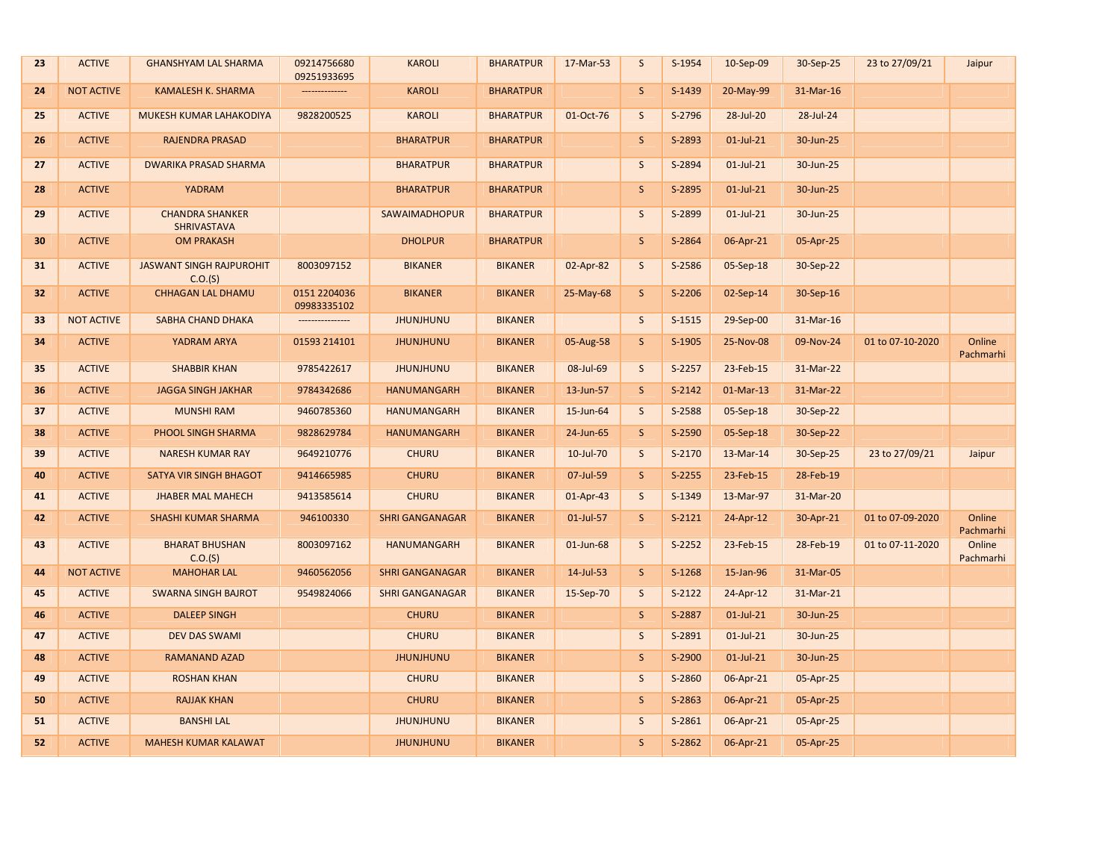| 23              | <b>ACTIVE</b>     | <b>GHANSHYAM LAL SHARMA</b>                  | 09214756680<br>09251933695  | <b>KAROLI</b>          | <b>BHARATPUR</b> | 17-Mar-53 | S            | S-1954   | 10-Sep-09    | 30-Sep-25 | 23 to 27/09/21   | Jaipur              |
|-----------------|-------------------|----------------------------------------------|-----------------------------|------------------------|------------------|-----------|--------------|----------|--------------|-----------|------------------|---------------------|
| 24              | <b>NOT ACTIVE</b> | <b>KAMALESH K. SHARMA</b>                    |                             | <b>KAROLI</b>          | <b>BHARATPUR</b> |           | $\mathsf{S}$ | S-1439   | 20-May-99    | 31-Mar-16 |                  |                     |
| 25              | <b>ACTIVE</b>     | MUKESH KUMAR LAHAKODIYA                      | 9828200525                  | <b>KAROLI</b>          | <b>BHARATPUR</b> | 01-Oct-76 | $\mathsf{S}$ | S-2796   | 28-Jul-20    | 28-Jul-24 |                  |                     |
| 26              | <b>ACTIVE</b>     | <b>RAJENDRA PRASAD</b>                       |                             | <b>BHARATPUR</b>       | <b>BHARATPUR</b> |           | $\mathsf{S}$ | S-2893   | $01$ -Jul-21 | 30-Jun-25 |                  |                     |
| 27              | <b>ACTIVE</b>     | <b>DWARIKA PRASAD SHARMA</b>                 |                             | <b>BHARATPUR</b>       | <b>BHARATPUR</b> |           | $\mathsf{S}$ | S-2894   | $01$ -Jul-21 | 30-Jun-25 |                  |                     |
| 28              | <b>ACTIVE</b>     | YADRAM                                       |                             | <b>BHARATPUR</b>       | <b>BHARATPUR</b> |           | $\mathsf S$  | S-2895   | $01$ -Jul-21 | 30-Jun-25 |                  |                     |
| 29              | <b>ACTIVE</b>     | <b>CHANDRA SHANKER</b><br><b>SHRIVASTAVA</b> |                             | <b>SAWAIMADHOPUR</b>   | <b>BHARATPUR</b> |           | S            | S-2899   | $01$ -Jul-21 | 30-Jun-25 |                  |                     |
| 30              | <b>ACTIVE</b>     | <b>OM PRAKASH</b>                            |                             | <b>DHOLPUR</b>         | <b>BHARATPUR</b> |           | $\mathsf S$  | S-2864   | 06-Apr-21    | 05-Apr-25 |                  |                     |
| 31              | <b>ACTIVE</b>     | <b>JASWANT SINGH RAJPUROHIT</b><br>C.O.(S)   | 8003097152                  | <b>BIKANER</b>         | <b>BIKANER</b>   | 02-Apr-82 | $\mathsf{S}$ | S-2586   | 05-Sep-18    | 30-Sep-22 |                  |                     |
| 32 <sub>2</sub> | <b>ACTIVE</b>     | <b>CHHAGAN LAL DHAMU</b>                     | 0151 2204036<br>09983335102 | <b>BIKANER</b>         | <b>BIKANER</b>   | 25-May-68 | $\mathsf S$  | S-2206   | 02-Sep-14    | 30-Sep-16 |                  |                     |
| 33              | <b>NOT ACTIVE</b> | SABHA CHAND DHAKA                            | ---------------             | <b>JHUNJHUNU</b>       | <b>BIKANER</b>   |           | $\sf S$      | $S-1515$ | 29-Sep-00    | 31-Mar-16 |                  |                     |
| 34              | <b>ACTIVE</b>     | YADRAM ARYA                                  | 01593 214101                | <b>JHUNJHUNU</b>       | <b>BIKANER</b>   | 05-Aug-58 | $\mathsf{S}$ | S-1905   | 25-Nov-08    | 09-Nov-24 | 01 to 07-10-2020 | Online<br>Pachmarhi |
| 35              | <b>ACTIVE</b>     | <b>SHABBIR KHAN</b>                          | 9785422617                  | <b>JHUNJHUNU</b>       | <b>BIKANER</b>   | 08-Jul-69 | $\mathsf{S}$ | $S-2257$ | 23-Feb-15    | 31-Mar-22 |                  |                     |
| 36              | <b>ACTIVE</b>     | <b>JAGGA SINGH JAKHAR</b>                    | 9784342686                  | <b>HANUMANGARH</b>     | <b>BIKANER</b>   | 13-Jun-57 | $\mathsf S$  | $S-2142$ | 01-Mar-13    | 31-Mar-22 |                  |                     |
| 37              | <b>ACTIVE</b>     | <b>MUNSHI RAM</b>                            | 9460785360                  | <b>HANUMANGARH</b>     | <b>BIKANER</b>   | 15-Jun-64 | $\mathsf{S}$ | S-2588   | 05-Sep-18    | 30-Sep-22 |                  |                     |
| 38              | <b>ACTIVE</b>     | PHOOL SINGH SHARMA                           | 9828629784                  | <b>HANUMANGARH</b>     | <b>BIKANER</b>   | 24-Jun-65 | $\mathsf S$  | S-2590   | 05-Sep-18    | 30-Sep-22 |                  |                     |
| 39              | <b>ACTIVE</b>     | <b>NARESH KUMAR RAY</b>                      | 9649210776                  | <b>CHURU</b>           | <b>BIKANER</b>   | 10-Jul-70 | $\sf S$      | $S-2170$ | 13-Mar-14    | 30-Sep-25 | 23 to 27/09/21   | Jaipur              |
| 40              | <b>ACTIVE</b>     | SATYA VIR SINGH BHAGOT                       | 9414665985                  | <b>CHURU</b>           | <b>BIKANER</b>   | 07-Jul-59 | $\mathsf S$  | S-2255   | 23-Feb-15    | 28-Feb-19 |                  |                     |
| 41              | <b>ACTIVE</b>     | <b>JHABER MAL MAHECH</b>                     | 9413585614                  | <b>CHURU</b>           | <b>BIKANER</b>   | 01-Apr-43 | S            | S-1349   | 13-Mar-97    | 31-Mar-20 |                  |                     |
| 42              | <b>ACTIVE</b>     | SHASHI KUMAR SHARMA                          | 946100330                   | <b>SHRI GANGANAGAR</b> | <b>BIKANER</b>   | 01-Jul-57 | $\mathsf S$  | $S-2121$ | 24-Apr-12    | 30-Apr-21 | 01 to 07-09-2020 | Online<br>Pachmarhi |
| 43              | <b>ACTIVE</b>     | <b>BHARAT BHUSHAN</b><br>C.O.(S)             | 8003097162                  | <b>HANUMANGARH</b>     | <b>BIKANER</b>   | 01-Jun-68 | $\sf S$      | S-2252   | 23-Feb-15    | 28-Feb-19 | 01 to 07-11-2020 | Online<br>Pachmarhi |
| 44              | <b>NOT ACTIVE</b> | <b>MAHOHAR LAL</b>                           | 9460562056                  | <b>SHRI GANGANAGAR</b> | <b>BIKANER</b>   | 14-Jul-53 | $\mathsf{S}$ | S-1268   | 15-Jan-96    | 31-Mar-05 |                  |                     |
| 45              | <b>ACTIVE</b>     | <b>SWARNA SINGH BAJROT</b>                   | 9549824066                  | <b>SHRI GANGANAGAR</b> | <b>BIKANER</b>   | 15-Sep-70 | S            | $S-2122$ | 24-Apr-12    | 31-Mar-21 |                  |                     |
| 46              | <b>ACTIVE</b>     | <b>DALEEP SINGH</b>                          |                             | <b>CHURU</b>           | <b>BIKANER</b>   |           | $\mathsf S$  | S-2887   | $01$ -Jul-21 | 30-Jun-25 |                  |                     |
| 47              | <b>ACTIVE</b>     | <b>DEV DAS SWAMI</b>                         |                             | <b>CHURU</b>           | <b>BIKANER</b>   |           | $\mathsf S$  | S-2891   | $01$ -Jul-21 | 30-Jun-25 |                  |                     |
| 48              | <b>ACTIVE</b>     | <b>RAMANAND AZAD</b>                         |                             | <b>JHUNJHUNU</b>       | <b>BIKANER</b>   |           | $\mathsf S$  | S-2900   | $01$ -Jul-21 | 30-Jun-25 |                  |                     |
| 49              | <b>ACTIVE</b>     | <b>ROSHAN KHAN</b>                           |                             | <b>CHURU</b>           | <b>BIKANER</b>   |           | $\mathsf S$  | S-2860   | 06-Apr-21    | 05-Apr-25 |                  |                     |
| 50              | <b>ACTIVE</b>     | <b>RAJJAK KHAN</b>                           |                             | <b>CHURU</b>           | <b>BIKANER</b>   |           | $\mathsf S$  | S-2863   | 06-Apr-21    | 05-Apr-25 |                  |                     |
| 51              | <b>ACTIVE</b>     | <b>BANSHI LAL</b>                            |                             | <b>JHUNJHUNU</b>       | <b>BIKANER</b>   |           | S            | S-2861   | 06-Apr-21    | 05-Apr-25 |                  |                     |
| 52              | <b>ACTIVE</b>     | <b>MAHESH KUMAR KALAWAT</b>                  |                             | <b>JHUNJHUNU</b>       | <b>BIKANER</b>   |           | S            | $S-2862$ | 06-Apr-21    | 05-Apr-25 |                  |                     |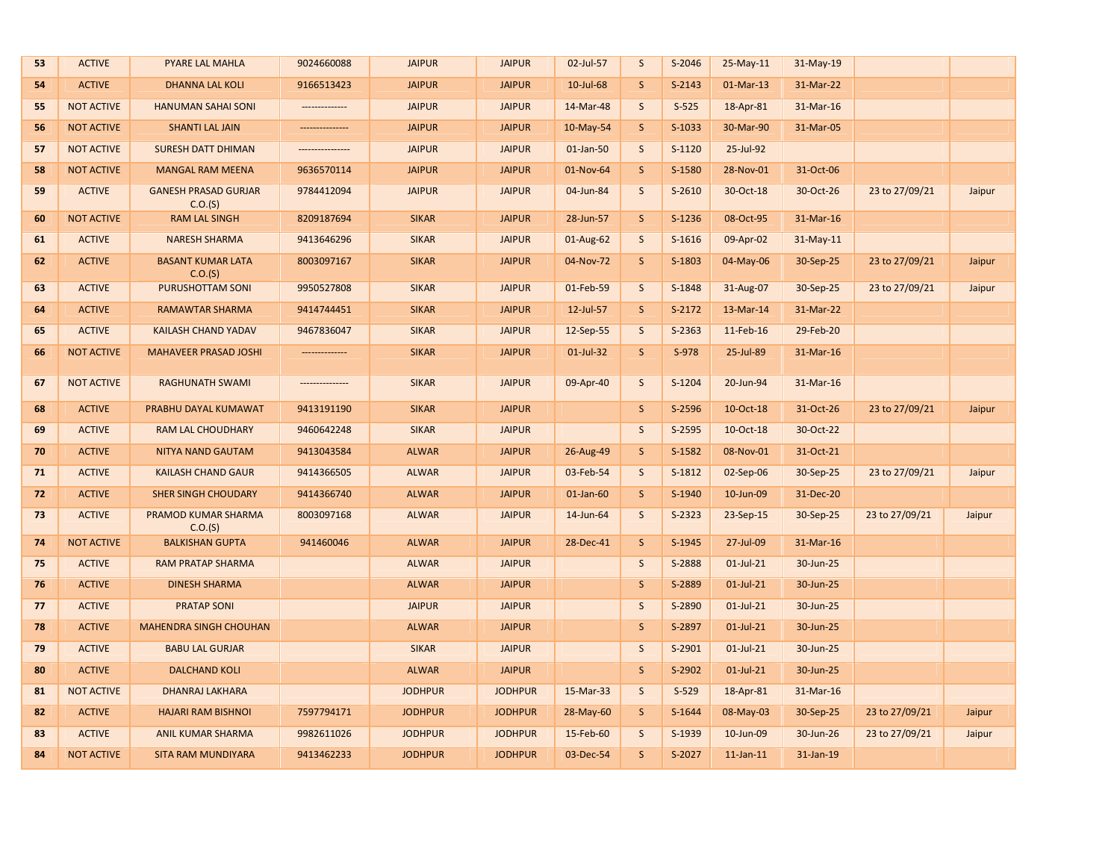| 53 | <b>ACTIVE</b>     | <b>PYARE LAL MAHLA</b>                 | 9024660088      | <b>JAIPUR</b>  | <b>JAIPUR</b>  | 02-Jul-57       | S            | S-2046   | $25-May-11$     | 31-May-19 |                |        |
|----|-------------------|----------------------------------------|-----------------|----------------|----------------|-----------------|--------------|----------|-----------------|-----------|----------------|--------|
| 54 | <b>ACTIVE</b>     | <b>DHANNA LAL KOLI</b>                 | 9166513423      | <b>JAIPUR</b>  | <b>JAIPUR</b>  | 10-Jul-68       | S            | $S-2143$ | $01-Mar-13$     | 31-Mar-22 |                |        |
| 55 | <b>NOT ACTIVE</b> | <b>HANUMAN SAHAI SONI</b>              | --------------- | <b>JAIPUR</b>  | <b>JAIPUR</b>  | 14-Mar-48       | $\mathsf S$  | $S-525$  | 18-Apr-81       | 31-Mar-16 |                |        |
| 56 | <b>NOT ACTIVE</b> | <b>SHANTI LAL JAIN</b>                 |                 | <b>JAIPUR</b>  | <b>JAIPUR</b>  | 10-May-54       | $\mathsf{S}$ | S-1033   | 30-Mar-90       | 31-Mar-05 |                |        |
| 57 | <b>NOT ACTIVE</b> | <b>SURESH DATT DHIMAN</b>              | --------------- | <b>JAIPUR</b>  | <b>JAIPUR</b>  | 01-Jan-50       | S            | $S-1120$ | 25-Jul-92       |           |                |        |
| 58 | <b>NOT ACTIVE</b> | <b>MANGAL RAM MEENA</b>                | 9636570114      | <b>JAIPUR</b>  | <b>JAIPUR</b>  | 01-Nov-64       | S            | S-1580   | 28-Nov-01       | 31-Oct-06 |                |        |
| 59 | <b>ACTIVE</b>     | <b>GANESH PRASAD GURJAR</b><br>C.O.(S) | 9784412094      | <b>JAIPUR</b>  | <b>JAIPUR</b>  | 04-Jun-84       | S            | $S-2610$ | 30-Oct-18       | 30-Oct-26 | 23 to 27/09/21 | Jaipur |
| 60 | <b>NOT ACTIVE</b> | <b>RAM LAL SINGH</b>                   | 8209187694      | <b>SIKAR</b>   | <b>JAIPUR</b>  | 28-Jun-57       | S            | S-1236   | 08-Oct-95       | 31-Mar-16 |                |        |
| 61 | <b>ACTIVE</b>     | <b>NARESH SHARMA</b>                   | 9413646296      | <b>SIKAR</b>   | <b>JAIPUR</b>  | 01-Aug-62       | $\mathsf S$  | $S-1616$ | 09-Apr-02       | 31-May-11 |                |        |
| 62 | <b>ACTIVE</b>     | <b>BASANT KUMAR LATA</b><br>C.O.(S)    | 8003097167      | <b>SIKAR</b>   | <b>JAIPUR</b>  | 04-Nov-72       | S            | S-1803   | 04-May-06       | 30-Sep-25 | 23 to 27/09/21 | Jaipur |
| 63 | <b>ACTIVE</b>     | PURUSHOTTAM SONI                       | 9950527808      | <b>SIKAR</b>   | <b>JAIPUR</b>  | 01-Feb-59       | $\mathsf S$  | S-1848   | 31-Aug-07       | 30-Sep-25 | 23 to 27/09/21 | Jaipur |
| 64 | <b>ACTIVE</b>     | RAMAWTAR SHARMA                        | 9414744451      | <b>SIKAR</b>   | <b>JAIPUR</b>  | 12-Jul-57       | $\mathsf{S}$ | S-2172   | 13-Mar-14       | 31-Mar-22 |                |        |
| 65 | <b>ACTIVE</b>     | <b>KAILASH CHAND YADAV</b>             | 9467836047      | <b>SIKAR</b>   | <b>JAIPUR</b>  | 12-Sep-55       | S            | S-2363   | 11-Feb-16       | 29-Feb-20 |                |        |
| 66 | <b>NOT ACTIVE</b> | <b>MAHAVEER PRASAD JOSHI</b>           | --------------- | <b>SIKAR</b>   | <b>JAIPUR</b>  | 01-Jul-32       | S            | S-978    | 25-Jul-89       | 31-Mar-16 |                |        |
| 67 | <b>NOT ACTIVE</b> | <b>RAGHUNATH SWAMI</b>                 | --------------- | <b>SIKAR</b>   | <b>JAIPUR</b>  | 09-Apr-40       | $\mathsf S$  | S-1204   | 20-Jun-94       | 31-Mar-16 |                |        |
| 68 | <b>ACTIVE</b>     | PRABHU DAYAL KUMAWAT                   | 9413191190      | <b>SIKAR</b>   | <b>JAIPUR</b>  |                 | S            | S-2596   | 10-Oct-18       | 31-Oct-26 | 23 to 27/09/21 | Jaipur |
| 69 | <b>ACTIVE</b>     | <b>RAM LAL CHOUDHARY</b>               | 9460642248      | <b>SIKAR</b>   | <b>JAIPUR</b>  |                 | S            | S-2595   | 10-Oct-18       | 30-Oct-22 |                |        |
| 70 | <b>ACTIVE</b>     | <b>NITYA NAND GAUTAM</b>               | 9413043584      | <b>ALWAR</b>   | <b>JAIPUR</b>  | 26-Aug-49       | S            | S-1582   | 08-Nov-01       | 31-Oct-21 |                |        |
| 71 | <b>ACTIVE</b>     | <b>KAILASH CHAND GAUR</b>              | 9414366505      | <b>ALWAR</b>   | <b>JAIPUR</b>  | 03-Feb-54       | S            | S-1812   | 02-Sep-06       | 30-Sep-25 | 23 to 27/09/21 | Jaipur |
| 72 | <b>ACTIVE</b>     | <b>SHER SINGH CHOUDARY</b>             | 9414366740      | <b>ALWAR</b>   | <b>JAIPUR</b>  | $01$ -Jan- $60$ | $\mathsf S$  | S-1940   | 10-Jun-09       | 31-Dec-20 |                |        |
| 73 | <b>ACTIVE</b>     | PRAMOD KUMAR SHARMA<br>C.O.(S)         | 8003097168      | <b>ALWAR</b>   | <b>JAIPUR</b>  | 14-Jun-64       | $\mathsf S$  | S-2323   | 23-Sep-15       | 30-Sep-25 | 23 to 27/09/21 | Jaipur |
| 74 | <b>NOT ACTIVE</b> | <b>BALKISHAN GUPTA</b>                 | 941460046       | <b>ALWAR</b>   | <b>JAIPUR</b>  | 28-Dec-41       | S            | S-1945   | 27-Jul-09       | 31-Mar-16 |                |        |
| 75 | <b>ACTIVE</b>     | <b>RAM PRATAP SHARMA</b>               |                 | <b>ALWAR</b>   | <b>JAIPUR</b>  |                 | $\mathsf S$  | S-2888   | $01$ -Jul-21    | 30-Jun-25 |                |        |
| 76 | <b>ACTIVE</b>     | <b>DINESH SHARMA</b>                   |                 | <b>ALWAR</b>   | <b>JAIPUR</b>  |                 | S            | S-2889   | $01$ -Jul-21    | 30-Jun-25 |                |        |
| 77 | <b>ACTIVE</b>     | <b>PRATAP SONI</b>                     |                 | <b>JAIPUR</b>  | <b>JAIPUR</b>  |                 | $\mathsf S$  | S-2890   | $01$ -Jul-21    | 30-Jun-25 |                |        |
| 78 | <b>ACTIVE</b>     | <b>MAHENDRA SINGH CHOUHAN</b>          |                 | <b>ALWAR</b>   | <b>JAIPUR</b>  |                 | $\mathsf{S}$ | S-2897   | $01$ -Jul-21    | 30-Jun-25 |                |        |
| 79 | <b>ACTIVE</b>     | <b>BABU LAL GURJAR</b>                 |                 | <b>SIKAR</b>   | <b>JAIPUR</b>  |                 | $\mathsf S$  | S-2901   | $01$ -Jul-21    | 30-Jun-25 |                |        |
| 80 | <b>ACTIVE</b>     | <b>DALCHAND KOLI</b>                   |                 | <b>ALWAR</b>   | <b>JAIPUR</b>  |                 | $\mathsf S$  | S-2902   | $01$ -Jul-21    | 30-Jun-25 |                |        |
| 81 | <b>NOT ACTIVE</b> | <b>DHANRAJ LAKHARA</b>                 |                 | <b>JODHPUR</b> | <b>JODHPUR</b> | 15-Mar-33       | $\mathsf S$  | $S-529$  | 18-Apr-81       | 31-Mar-16 |                |        |
| 82 | <b>ACTIVE</b>     | <b>HAJARI RAM BISHNOI</b>              | 7597794171      | <b>JODHPUR</b> | <b>JODHPUR</b> | 28-May-60       | S            | S-1644   | 08-May-03       | 30-Sep-25 | 23 to 27/09/21 | Jaipur |
| 83 | <b>ACTIVE</b>     | <b>ANIL KUMAR SHARMA</b>               | 9982611026      | <b>JODHPUR</b> | <b>JODHPUR</b> | 15-Feb-60       | S            | S-1939   | 10-Jun-09       | 30-Jun-26 | 23 to 27/09/21 | Jaipur |
| 84 | <b>NOT ACTIVE</b> | <b>SITA RAM MUNDIYARA</b>              | 9413462233      | <b>JODHPUR</b> | <b>JODHPUR</b> | 03-Dec-54       | S            | S-2027   | $11$ -Jan- $11$ | 31-Jan-19 |                |        |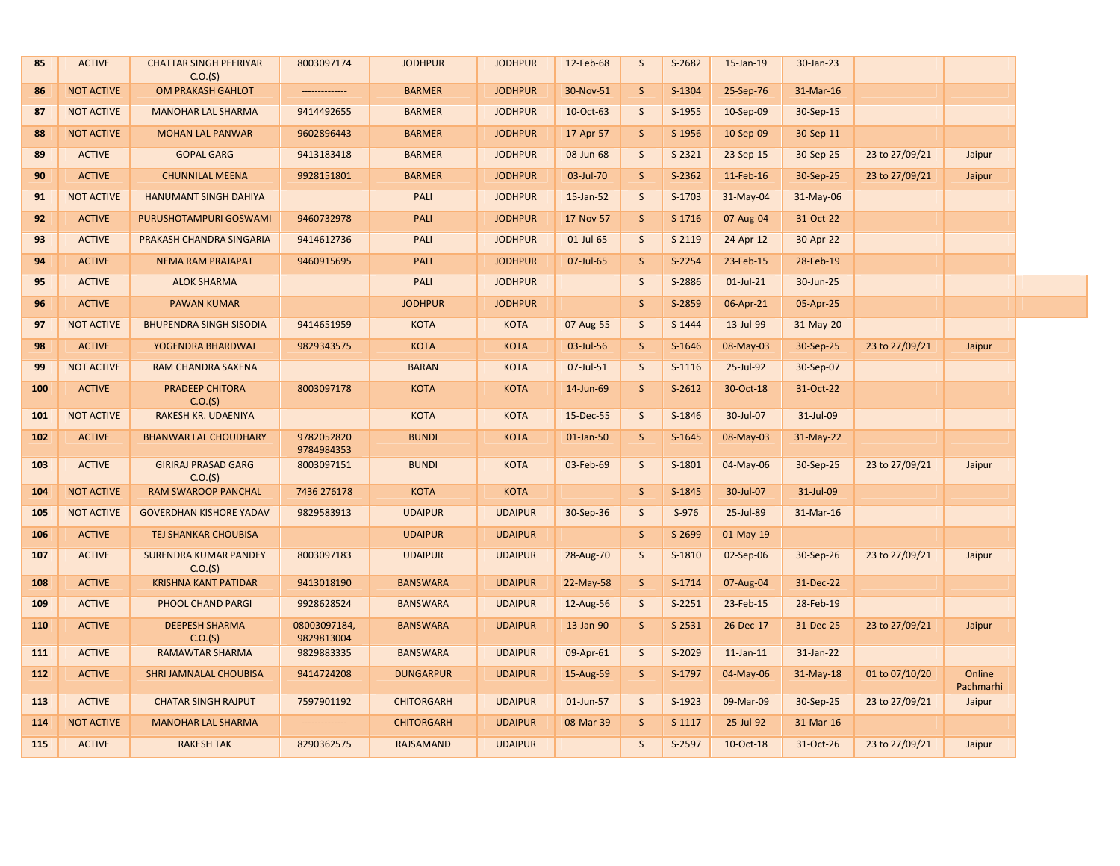| C.O.(S)                                                                                                                                                                |                                                      |
|------------------------------------------------------------------------------------------------------------------------------------------------------------------------|------------------------------------------------------|
| S-1304<br><b>NOT ACTIVE</b><br>OM PRAKASH GAHLOT<br><b>BARMER</b><br><b>JODHPUR</b><br>30-Nov-51<br>S<br>25-Sep-76<br>86<br>--------------                             | 31-Mar-16                                            |
| 10-Oct-63<br>87<br><b>NOT ACTIVE</b><br><b>MANOHAR LAL SHARMA</b><br>9414492655<br><b>BARMER</b><br><b>JODHPUR</b><br>S<br>S-1955<br>10-Sep-09                         | 30-Sep-15                                            |
| <b>NOT ACTIVE</b><br><b>BARMER</b><br>17-Apr-57<br>$\mathsf{S}$<br>S-1956<br>10-Sep-09<br>88<br><b>MOHAN LAL PANWAR</b><br>9602896443<br><b>JODHPUR</b>                | 30-Sep-11                                            |
| <b>ACTIVE</b><br><b>GOPAL GARG</b><br>9413183418<br><b>BARMER</b><br><b>JODHPUR</b><br>$\mathsf{S}$<br>$S-2321$<br>89<br>08-Jun-68<br>$23-Sep-15$                      | 30-Sep-25<br>23 to 27/09/21<br>Jaipur                |
| <b>ACTIVE</b><br><b>CHUNNILAL MEENA</b><br><b>BARMER</b><br><b>JODHPUR</b><br>03-Jul-70<br><sub>S</sub><br>$S-2362$<br>11-Feb-16<br>90<br>9928151801                   | 30-Sep-25<br>23 to 27/09/21<br>Jaipur                |
| 91<br><b>NOT ACTIVE</b><br><b>HANUMANT SINGH DAHIYA</b><br>PALI<br><b>JODHPUR</b><br>15-Jan-52<br>S<br>S-1703<br>31-May-04                                             | 31-May-06                                            |
| $\mathsf{S}$<br>$S-1716$<br>92<br><b>ACTIVE</b><br>PURUSHOTAMPURI GOSWAMI<br>9460732978<br>PALI<br><b>JODHPUR</b><br>17-Nov-57<br>07-Aug-04                            | 31-Oct-22                                            |
| <b>ACTIVE</b><br>93<br>PRAKASH CHANDRA SINGARIA<br>9414612736<br>PALI<br><b>JODHPUR</b><br>01-Jul-65<br>S<br>$S-2119$<br>24-Apr-12                                     | 30-Apr-22                                            |
| S-2254<br>94<br><b>ACTIVE</b><br><b>NEMA RAM PRAJAPAT</b><br>9460915695<br>PALI<br><b>JODHPUR</b><br>07-Jul-65<br>S<br>23-Feb-15                                       | 28-Feb-19                                            |
| <b>ACTIVE</b><br>S<br>95<br><b>ALOK SHARMA</b><br>PALI<br><b>JODHPUR</b><br>S-2886<br>$01$ -Jul-21                                                                     | 30-Jun-25                                            |
| <b>ACTIVE</b><br><b>JODHPUR</b><br><b>JODHPUR</b><br><sub>S</sub><br>S-2859<br>96<br><b>PAWAN KUMAR</b><br>06-Apr-21                                                   | 05-Apr-25                                            |
| <b>NOT ACTIVE</b><br><b>BHUPENDRA SINGH SISODIA</b><br>9414651959<br><b>KOTA</b><br><b>KOTA</b><br>07-Aug-55<br>S<br>S-1444<br>13-Jul-99<br>97                         | $31-May-20$                                          |
| <b>ACTIVE</b><br><b>KOTA</b><br><b>KOTA</b><br>03-Jul-56<br><sub>S</sub><br>S-1646<br>98<br>YOGENDRA BHARDWAJ<br>9829343575<br>08-May-03                               | 30-Sep-25<br>23 to 27/09/21<br>Jaipur                |
| 99<br><b>NOT ACTIVE</b><br>RAM CHANDRA SAXENA<br><b>BARAN</b><br><b>KOTA</b><br>07-Jul-51<br><sub>S</sub><br>$S-1116$<br>25-Jul-92                                     | 30-Sep-07                                            |
| PRADEEP CHITORA<br>$S-2612$<br>100<br><b>ACTIVE</b><br>8003097178<br><b>KOTA</b><br><b>KOTA</b><br>14-Jun-69<br>S<br>30-Oct-18<br>C.O.(S)                              | 31-Oct-22                                            |
| <b>NOT ACTIVE</b><br>RAKESH KR. UDAENIYA<br><b>KOTA</b><br><b>KOTA</b><br>15-Dec-55<br>$\mathsf{S}$<br>S-1846<br>30-Jul-07<br>101                                      | 31-Jul-09                                            |
| <b>ACTIVE</b><br>9782052820<br><b>BUNDI</b><br><b>KOTA</b><br>01-Jan-50<br>$\mathsf{S}$<br>$S-1645$<br>102<br><b>BHANWAR LAL CHOUDHARY</b><br>08-May-03<br>9784984353  | $31-May-22$                                          |
| <b>GIRIRAJ PRASAD GARG</b><br>S<br><b>ACTIVE</b><br>8003097151<br><b>BUNDI</b><br><b>KOTA</b><br>03-Feb-69<br>S-1801<br>04-May-06<br>103<br>C.O.(S)                    | 30-Sep-25<br>23 to 27/09/21<br>Jaipur                |
| <b>KOTA</b><br><b>KOTA</b><br>$\mathsf{S}$<br>S-1845<br>104<br><b>NOT ACTIVE</b><br>RAM SWAROOP PANCHAL<br>7436 276178<br>30-Jul-07                                    | 31-Jul-09                                            |
| <b>NOT ACTIVE</b><br><b>UDAIPUR</b><br><b>UDAIPUR</b><br>30-Sep-36<br>$\mathsf{S}$<br>$S-976$<br>25-Jul-89<br>105<br><b>GOVERDHAN KISHORE YADAV</b><br>9829583913      | 31-Mar-16                                            |
| <b>ACTIVE</b><br>TEJ SHANKAR CHOUBISA<br><b>UDAIPUR</b><br>$\mathsf{S}$<br>S-2699<br>106<br><b>UDAIPUR</b><br>$01-May-19$                                              |                                                      |
| <b>ACTIVE</b><br><b>SURENDRA KUMAR PANDEY</b><br>8003097183<br><b>UDAIPUR</b><br><b>UDAIPUR</b><br>$\mathsf{S}$<br>S-1810<br>107<br>28-Aug-70<br>02-Sep-06<br>C.O.(S)  | 23 to 27/09/21<br>30-Sep-26<br>Jaipur                |
| <b>ACTIVE</b><br><b>KRISHNA KANT PATIDAR</b><br>9413018190<br><b>BANSWARA</b><br><b>UDAIPUR</b><br>22-May-58<br><sub>S</sub><br>$S-1714$<br>07-Aug-04<br>108           | 31-Dec-22                                            |
| <b>ACTIVE</b><br>PHOOL CHAND PARGI<br>9928628524<br><b>BANSWARA</b><br><b>UDAIPUR</b><br>12-Aug-56<br>S<br>$S-2251$<br>23-Feb-15<br>109                                | 28-Feb-19                                            |
| 110<br><b>ACTIVE</b><br><b>DEEPESH SHARMA</b><br>08003097184,<br><b>BANSWARA</b><br><b>UDAIPUR</b><br>13-Jan-90<br>S<br>$S-2531$<br>26-Dec-17<br>9829813004<br>C.O.(S) | 31-Dec-25<br>23 to 27/09/21<br>Jaipur                |
| <b>ACTIVE</b><br><b>BANSWARA</b><br>09-Apr-61<br>$\mathsf{S}$<br>S-2029<br>111<br><b>RAMAWTAR SHARMA</b><br>9829883335<br><b>UDAIPUR</b><br>$11$ -Jan- $11$            | 31-Jan-22                                            |
| <b>ACTIVE</b><br><b>SHRI JAMNALAL CHOUBISA</b><br><b>DUNGARPUR</b><br>15-Aug-59<br><sub>S</sub><br>S-1797<br>04-May-06<br>112<br>9414724208<br><b>UDAIPUR</b>          | Online<br>$31-May-18$<br>01 to 07/10/20<br>Pachmarhi |
| 113<br><b>ACTIVE</b><br><b>CHATAR SINGH RAJPUT</b><br>7597901192<br><b>CHITORGARH</b><br><b>UDAIPUR</b><br>01-Jun-57<br>S<br>S-1923<br>09-Mar-09                       | 30-Sep-25<br>23 to 27/09/21<br>Jaipur                |
| $S-1117$<br><b>NOT ACTIVE</b><br><b>MANOHAR LAL SHARMA</b><br><b>CHITORGARH</b><br><b>UDAIPUR</b><br>08-Mar-39<br>S<br>25-Jul-92<br>114                                | 31-Mar-16                                            |
| <b>RAKESH TAK</b><br><b>RAJSAMAND</b><br>S<br>S-2597<br>10-Oct-18<br>115<br><b>ACTIVE</b><br>8290362575<br><b>UDAIPUR</b>                                              | 31-Oct-26<br>23 to 27/09/21<br>Jaipur                |